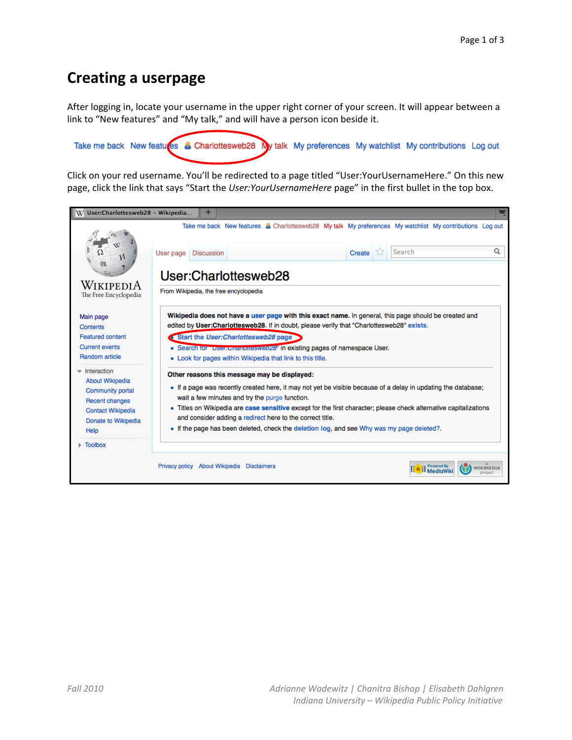## **Creating a userpage**

After logging in, locate your username in the upper right corner of your screen. It will appear between a link to "New features" and "My talk," and will have a person icon beside it.

Take me back New features & Charlottesweb28 My talk My preferences My watchlist My contributions Log out

Click on your red username. You'll be redirected to a page titled "User: Your Username Here." On this new page, click the link that says "Start the User: YourUsernameHere page" in the first bullet in the top box.

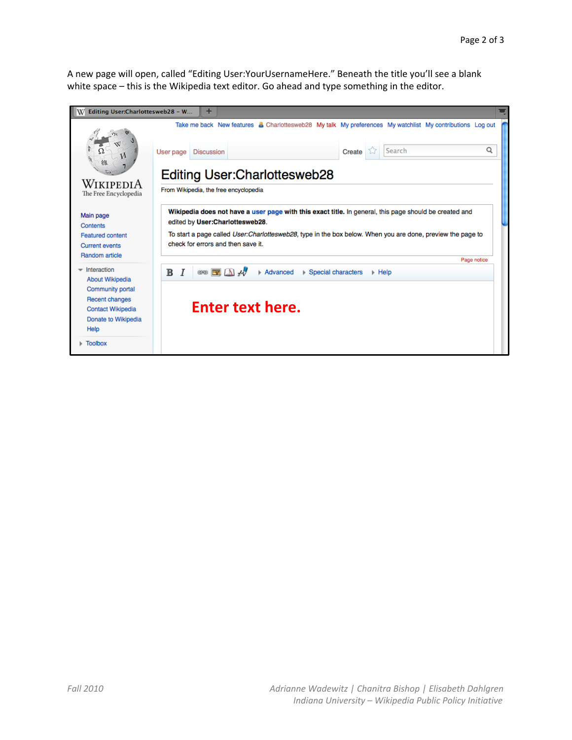A new page will open, called "Editing User: Your Username Here." Beneath the title you'll see a blank white space - this is the Wikipedia text editor. Go ahead and type something in the editor.